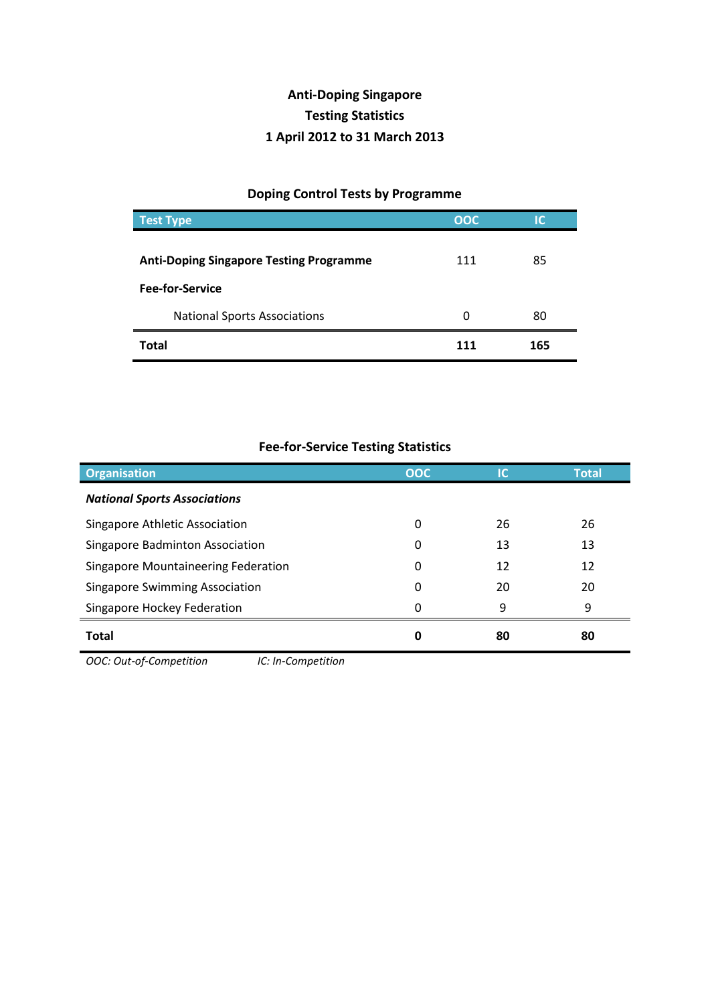## **Anti-Doping Singapore Testing Statistics 1 April 2012 to 31 March 2013**

## **Doping Control Tests by Programme**

| <b>Test Type</b>                               | <b>OOC</b> | IC  |
|------------------------------------------------|------------|-----|
|                                                |            |     |
| <b>Anti-Doping Singapore Testing Programme</b> | 111        | 85  |
| <b>Fee-for-Service</b>                         |            |     |
| <b>National Sports Associations</b>            | 0          | 80  |
| Total                                          | 111        | 165 |

## **Fee-for-Service Testing Statistics**

| <b>Organisation</b>                           | <b>OOC</b> | IC | <b>Total</b> |
|-----------------------------------------------|------------|----|--------------|
| <b>National Sports Associations</b>           |            |    |              |
| Singapore Athletic Association                | 0          | 26 | 26           |
| Singapore Badminton Association               | 0          | 13 | 13           |
| Singapore Mountaineering Federation           | 0          | 12 | 12           |
| <b>Singapore Swimming Association</b>         | 0          | 20 | 20           |
| Singapore Hockey Federation                   | 0          | 9  | 9            |
| <b>Total</b>                                  | 0          | 80 | 80           |
| OOC: Out-of-Competition<br>IC: In-Competition |            |    |              |